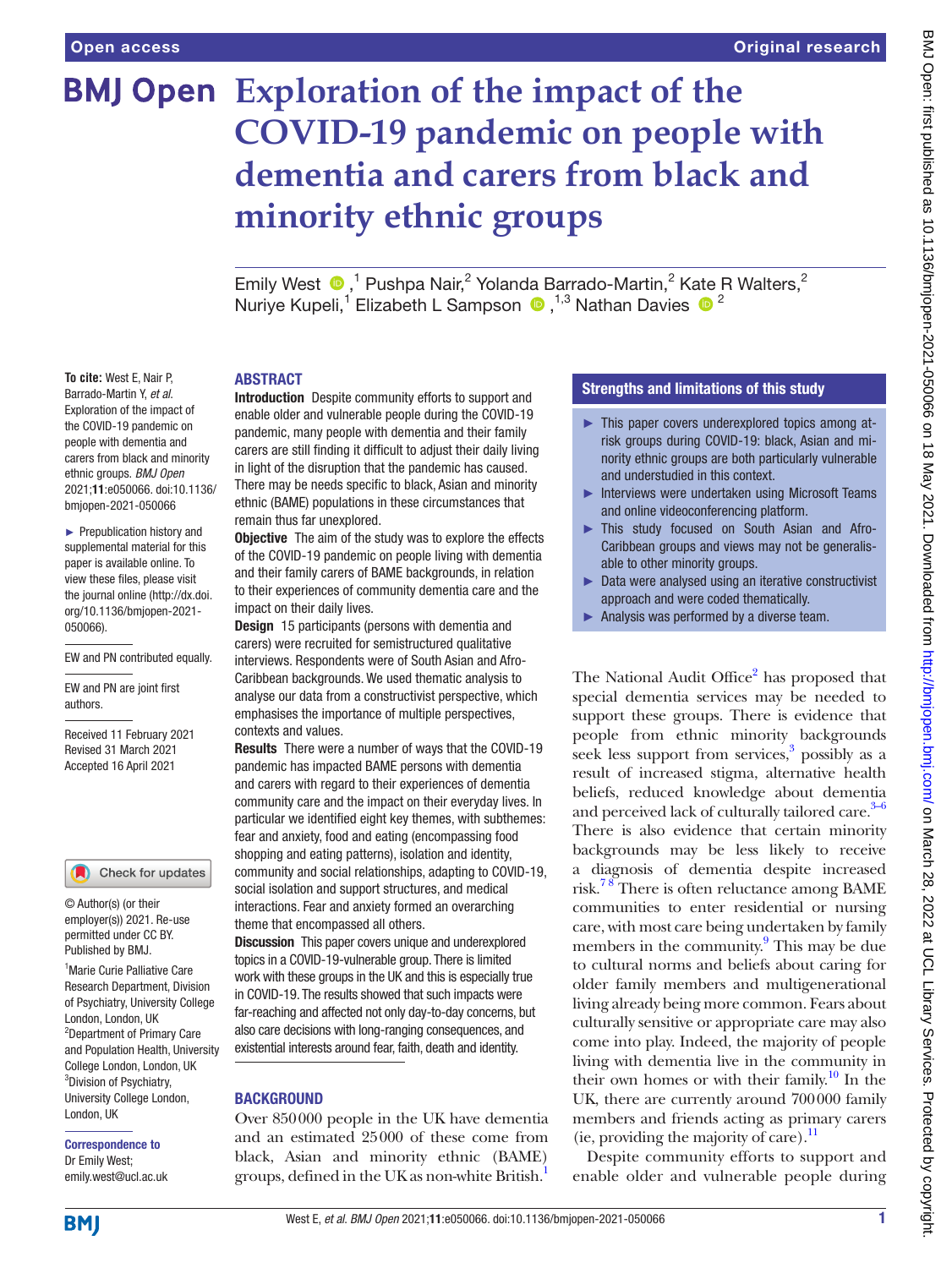**To cite:** West E, Nair P, Barrado-Martin Y, *et al*. Exploration of the impact of the COVID-19 pandemic on people with dementia and carers from black and minority ethnic groups. *BMJ Open* 2021;11:e050066. doi:10.1136/ bmjopen-2021-050066 ► Prepublication history and supplemental material for this paper is available online. To view these files, please visit the journal online [\(http://dx.doi.](http://dx.doi.org/10.1136/bmjopen-2021-050066) [org/10.1136/bmjopen-2021-](http://dx.doi.org/10.1136/bmjopen-2021-050066)

[050066\)](http://dx.doi.org/10.1136/bmjopen-2021-050066).

authors.

EW and PN contributed equally.

EW and PN are joint first

Received 11 February 2021 Revised 31 March 2021 Accepted 16 April 2021

<sup>1</sup> Marie Curie Palliative Care Research Department, Division of Psychiatry, University College

Check for updates

London, London, UK 2 Department of Primary Care and Population Health, University College London, London, UK 3 Division of Psychiatry, University College London,

© Author(s) (or their employer(s)) 2021. Re-use permitted under CC BY. Published by BMJ.

Correspondence to Dr Emily West; emily.west@ucl.ac.uk

# **BMJ Open** Exploration of the impact of the **COVID-19 pandemic on people with dementia and carers from black and minority ethnic groups**

Emily West  $\bigcirc$ ,<sup>1</sup> Pushpa Nair,<sup>2</sup> Yolanda Barrado-Martin,<sup>2</sup> Kate R Walters,<sup>2</sup> NuriyeKupeli,<sup>1</sup> Elizabeth L Sampson (D, <sup>1,3</sup> Nathan Davies (D<sup>2</sup>

# **ABSTRACT**

Introduction Despite community efforts to support and enable older and vulnerable people during the COVID-19 pandemic, many people with dementia and their family carers are still finding it difficult to adjust their daily living in light of the disruption that the pandemic has caused. There may be needs specific to black, Asian and minority ethnic (BAME) populations in these circumstances that remain thus far unexplored.

**Objective** The aim of the study was to explore the effects of the COVID-19 pandemic on people living with dementia and their family carers of BAME backgrounds, in relation to their experiences of community dementia care and the impact on their daily lives.

Design 15 participants (persons with dementia and carers) were recruited for semistructured qualitative interviews. Respondents were of South Asian and Afro-Caribbean backgrounds. We used thematic analysis to analyse our data from a constructivist perspective, which emphasises the importance of multiple perspectives, contexts and values.

Results There were a number of ways that the COVID-19 pandemic has impacted BAME persons with dementia and carers with regard to their experiences of dementia community care and the impact on their everyday lives. In particular we identified eight key themes, with subthemes: fear and anxiety, food and eating (encompassing food shopping and eating patterns), isolation and identity, community and social relationships, adapting to COVID-19, social isolation and support structures, and medical interactions. Fear and anxiety formed an overarching theme that encompassed all others.

**Discussion** This paper covers unique and underexplored topics in a COVID-19-vulnerable group. There is limited work with these groups in the UK and this is especially true in COVID-19. The results showed that such impacts were far-reaching and affected not only day-to-day concerns, but also care decisions with long-ranging consequences, and existential interests around fear, faith, death and identity.

## **BACKGROUND**

Over 850000 people in the UK have dementia and an estimated 25000 of these come from black, Asian and minority ethnic (BAME) groups, defined in the UK as non-white British[.1](#page-8-0)

# Strengths and limitations of this study

- ► This paper covers underexplored topics among atrisk groups during COVID-19: black, Asian and minority ethnic groups are both particularly vulnerable and understudied in this context.
- ► Interviews were undertaken using Microsoft Teams and online videoconferencing platform.
- ► This study focused on South Asian and Afro-Caribbean groups and views may not be generalisable to other minority groups.
- ► Data were analysed using an iterative constructivist approach and were coded thematically.
- ► Analysis was performed by a diverse team.

The National Audit Office<sup>2</sup> has proposed that special dementia services may be needed to support these groups. There is evidence that people from ethnic minority backgrounds seek less support from services,<sup>3</sup> possibly as a result of increased stigma, alternative health beliefs, reduced knowledge about dementia and perceived lack of culturally tailored care. $3-6$ There is also evidence that certain minority backgrounds may be less likely to receive a diagnosis of dementia despite increased risk.[7 8](#page-8-3) There is often reluctance among BAME communities to enter residential or nursing care, with most care being undertaken by family members in the community.<sup>[9](#page-8-4)</sup> This may be due to cultural norms and beliefs about caring for older family members and multigenerational living already being more common. Fears about culturally sensitive or appropriate care may also come into play. Indeed, the majority of people living with dementia live in the community in their own homes or with their family.<sup>10</sup> In the UK, there are currently around 700000 family members and friends acting as primary carers (ie, providing the majority of care). $^{11}$ 

Despite community efforts to support and enable older and vulnerable people during

**BMI** 

London, UK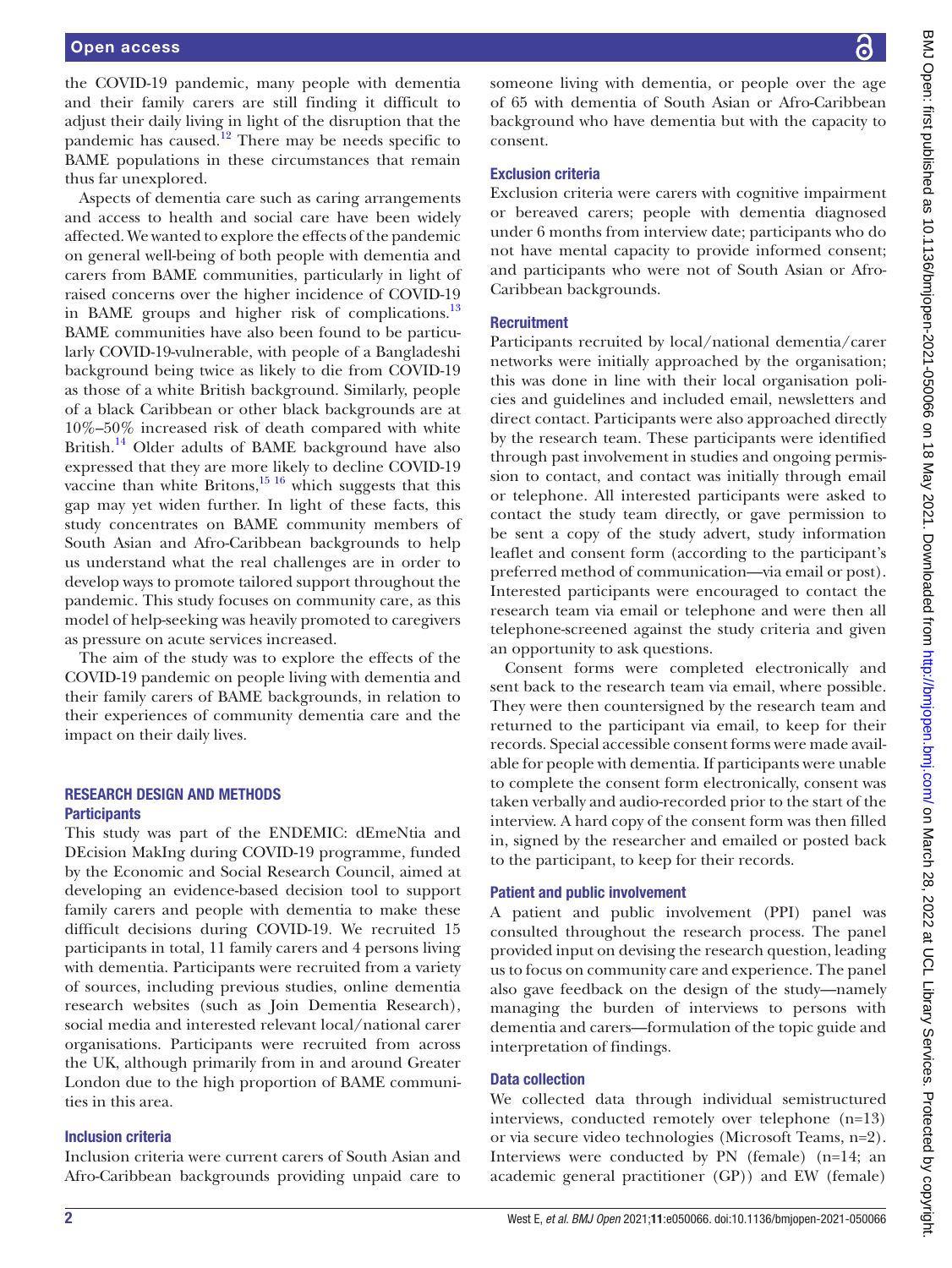the COVID-19 pandemic, many people with dementia and their family carers are still finding it difficult to adjust their daily living in light of the disruption that the pandemic has caused.<sup>12</sup> There may be needs specific to BAME populations in these circumstances that remain thus far unexplored.

Aspects of dementia care such as caring arrangements and access to health and social care have been widely affected. We wanted to explore the effects of the pandemic on general well-being of both people with dementia and carers from BAME communities, particularly in light of raised concerns over the higher incidence of COVID-19 in BAME groups and higher risk of complications.<sup>13</sup> BAME communities have also been found to be particularly COVID-19-vulnerable, with people of a Bangladeshi background being twice as likely to die from COVID-19 as those of a white British background. Similarly, people of a black Caribbean or other black backgrounds are at 10%–50% increased risk of death compared with white British.<sup>14</sup> Older adults of BAME background have also expressed that they are more likely to decline COVID-19 vaccine than white Britons, $15 \frac{16}{16}$  which suggests that this gap may yet widen further. In light of these facts, this study concentrates on BAME community members of South Asian and Afro-Caribbean backgrounds to help us understand what the real challenges are in order to develop ways to promote tailored support throughout the pandemic. This study focuses on community care, as this model of help-seeking was heavily promoted to caregivers as pressure on acute services increased.

The aim of the study was to explore the effects of the COVID-19 pandemic on people living with dementia and their family carers of BAME backgrounds, in relation to their experiences of community dementia care and the impact on their daily lives.

## RESEARCH DESIGN AND METHODS **Participants**

This study was part of the ENDEMIC: dEmeNtia and DEcision MakIng during COVID-19 programme, funded by the Economic and Social Research Council, aimed at developing an evidence-based decision tool to support family carers and people with dementia to make these difficult decisions during COVID-19. We recruited 15 participants in total, 11 family carers and 4 persons living with dementia. Participants were recruited from a variety of sources, including previous studies, online dementia research websites (such as Join Dementia Research), social media and interested relevant local/national carer organisations. Participants were recruited from across the UK, although primarily from in and around Greater London due to the high proportion of BAME communities in this area.

#### Inclusion criteria

Inclusion criteria were current carers of South Asian and Afro-Caribbean backgrounds providing unpaid care to someone living with dementia, or people over the age of 65 with dementia of South Asian or Afro-Caribbean background who have dementia but with the capacity to consent.

## Exclusion criteria

Exclusion criteria were carers with cognitive impairment or bereaved carers; people with dementia diagnosed under 6 months from interview date; participants who do not have mental capacity to provide informed consent; and participants who were not of South Asian or Afro-Caribbean backgrounds.

# **Recruitment**

Participants recruited by local/national dementia/carer networks were initially approached by the organisation; this was done in line with their local organisation policies and guidelines and included email, newsletters and direct contact. Participants were also approached directly by the research team. These participants were identified through past involvement in studies and ongoing permission to contact, and contact was initially through email or telephone. All interested participants were asked to contact the study team directly, or gave permission to be sent a copy of the study advert, study information leaflet and consent form (according to the participant's preferred method of communication—via email or post). Interested participants were encouraged to contact the research team via email or telephone and were then all telephone-screened against the study criteria and given an opportunity to ask questions.

Consent forms were completed electronically and sent back to the research team via email, where possible. They were then countersigned by the research team and returned to the participant via email, to keep for their records. Special accessible consent forms were made available for people with dementia. If participants were unable to complete the consent form electronically, consent was taken verbally and audio-recorded prior to the start of the interview. A hard copy of the consent form was then filled in, signed by the researcher and emailed or posted back to the participant, to keep for their records.

#### Patient and public involvement

A patient and public involvement (PPI) panel was consulted throughout the research process. The panel provided input on devising the research question, leading us to focus on community care and experience. The panel also gave feedback on the design of the study—namely managing the burden of interviews to persons with dementia and carers—formulation of the topic guide and interpretation of findings.

# Data collection

We collected data through individual semistructured interviews, conducted remotely over telephone (n=13) or via secure video technologies (Microsoft Teams, n=2). Interviews were conducted by PN (female) (n=14; an academic general practitioner (GP)) and EW (female)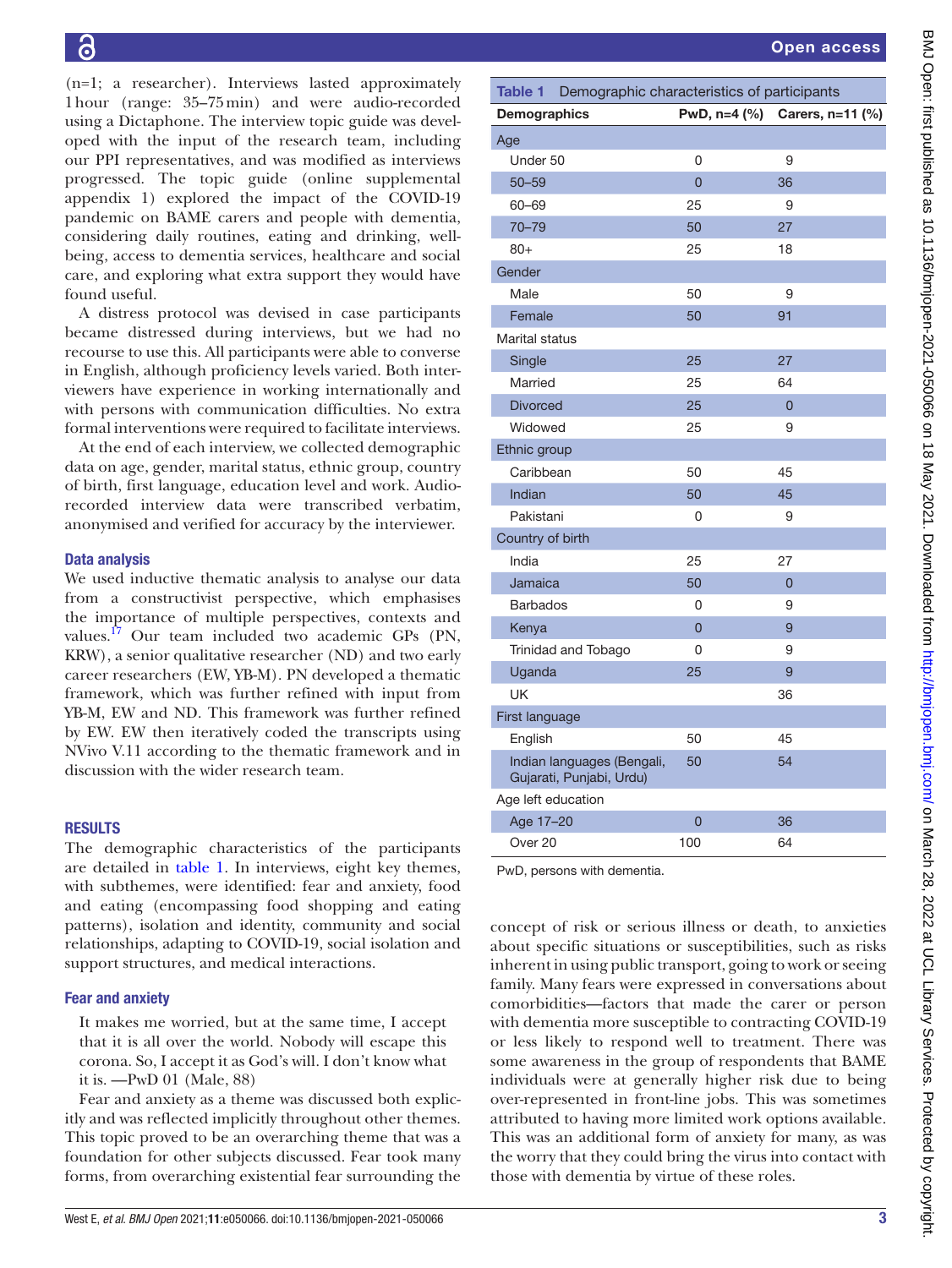(n=1; a researcher). Interviews lasted approximately 1hour (range: 35–75min) and were audio-recorded using a Dictaphone. The interview topic guide was developed with the input of the research team, including our PPI representatives, and was modified as interviews progressed. The topic guide ([online supplemental](https://dx.doi.org/10.1136/bmjopen-2021-050066) [appendix 1](https://dx.doi.org/10.1136/bmjopen-2021-050066)) explored the impact of the COVID-19 pandemic on BAME carers and people with dementia, considering daily routines, eating and drinking, wellbeing, access to dementia services, healthcare and social care, and exploring what extra support they would have found useful.

A distress protocol was devised in case participants became distressed during interviews, but we had no recourse to use this. All participants were able to converse in English, although proficiency levels varied. Both interviewers have experience in working internationally and with persons with communication difficulties. No extra formal interventions were required to facilitate interviews.

At the end of each interview, we collected demographic data on age, gender, marital status, ethnic group, country of birth, first language, education level and work. Audiorecorded interview data were transcribed verbatim, anonymised and verified for accuracy by the interviewer.

# Data analysis

We used inductive thematic analysis to analyse our data from a constructivist perspective, which emphasises the importance of multiple perspectives, contexts and values.<sup>17</sup> Our team included two academic GPs (PN, KRW), a senior qualitative researcher (ND) and two early career researchers (EW, YB-M). PN developed a thematic framework, which was further refined with input from YB-M, EW and ND. This framework was further refined by EW. EW then iteratively coded the transcripts using NVivo V.11 according to the thematic framework and in discussion with the wider research team.

## RESULTS

The demographic characteristics of the participants are detailed in [table](#page-2-0) 1. In interviews, eight key themes, with subthemes, were identified: fear and anxiety, food and eating (encompassing food shopping and eating patterns), isolation and identity, community and social relationships, adapting to COVID-19, social isolation and support structures, and medical interactions.

## Fear and anxiety

It makes me worried, but at the same time, I accept that it is all over the world. Nobody will escape this corona. So, I accept it as God's will. I don't know what it is. —PwD 01 (Male, 88)

Fear and anxiety as a theme was discussed both explicitly and was reflected implicitly throughout other themes. This topic proved to be an overarching theme that was a foundation for other subjects discussed. Fear took many forms, from overarching existential fear surrounding the

<span id="page-2-0"></span>

| Table 1 Demographic characteristics of participants    |                |                               |
|--------------------------------------------------------|----------------|-------------------------------|
| <b>Demographics</b>                                    |                | PwD, n=4 (%) Carers, n=11 (%) |
| Age                                                    |                |                               |
| Under 50                                               | 0              | 9                             |
| $50 - 59$                                              | $\overline{0}$ | 36                            |
| 60-69                                                  | 25             | 9                             |
| $70 - 79$                                              | 50             | 27                            |
| $80+$                                                  | 25             | 18                            |
| Gender                                                 |                |                               |
| Male                                                   | 50             | 9                             |
| Female                                                 | 50             | 91                            |
| <b>Marital status</b>                                  |                |                               |
| Single                                                 | 25             | 27                            |
| Married                                                | 25             | 64                            |
| <b>Divorced</b>                                        | 25             | $\overline{0}$                |
| Widowed                                                | 25             | 9                             |
| Ethnic group                                           |                |                               |
| Caribbean                                              | 50             | 45                            |
| Indian                                                 | 50             | 45                            |
| Pakistani                                              | 0              | 9                             |
| Country of birth                                       |                |                               |
| India                                                  | 25             | 27                            |
| Jamaica                                                | 50             | 0                             |
| Barbados                                               | 0              | 9                             |
| Kenya                                                  | $\overline{0}$ | 9                             |
| Trinidad and Tobago                                    | 0              | 9                             |
| Uganda                                                 | 25             | 9                             |
| UK                                                     |                | 36                            |
| <b>First language</b>                                  |                |                               |
| English                                                | 50             | 45                            |
| Indian languages (Bengali,<br>Gujarati, Punjabi, Urdu) | 50             | 54                            |
| Age left education                                     |                |                               |
| Age 17-20                                              | $\overline{0}$ | 36                            |
| Over 20                                                | 100            | 64                            |
|                                                        |                |                               |

PwD, persons with dementia.

concept of risk or serious illness or death, to anxieties about specific situations or susceptibilities, such as risks inherent in using public transport, going to work or seeing family. Many fears were expressed in conversations about comorbidities—factors that made the carer or person with dementia more susceptible to contracting COVID-19 or less likely to respond well to treatment. There was some awareness in the group of respondents that BAME individuals were at generally higher risk due to being over-represented in front-line jobs. This was sometimes attributed to having more limited work options available. This was an additional form of anxiety for many, as was the worry that they could bring the virus into contact with those with dementia by virtue of these roles.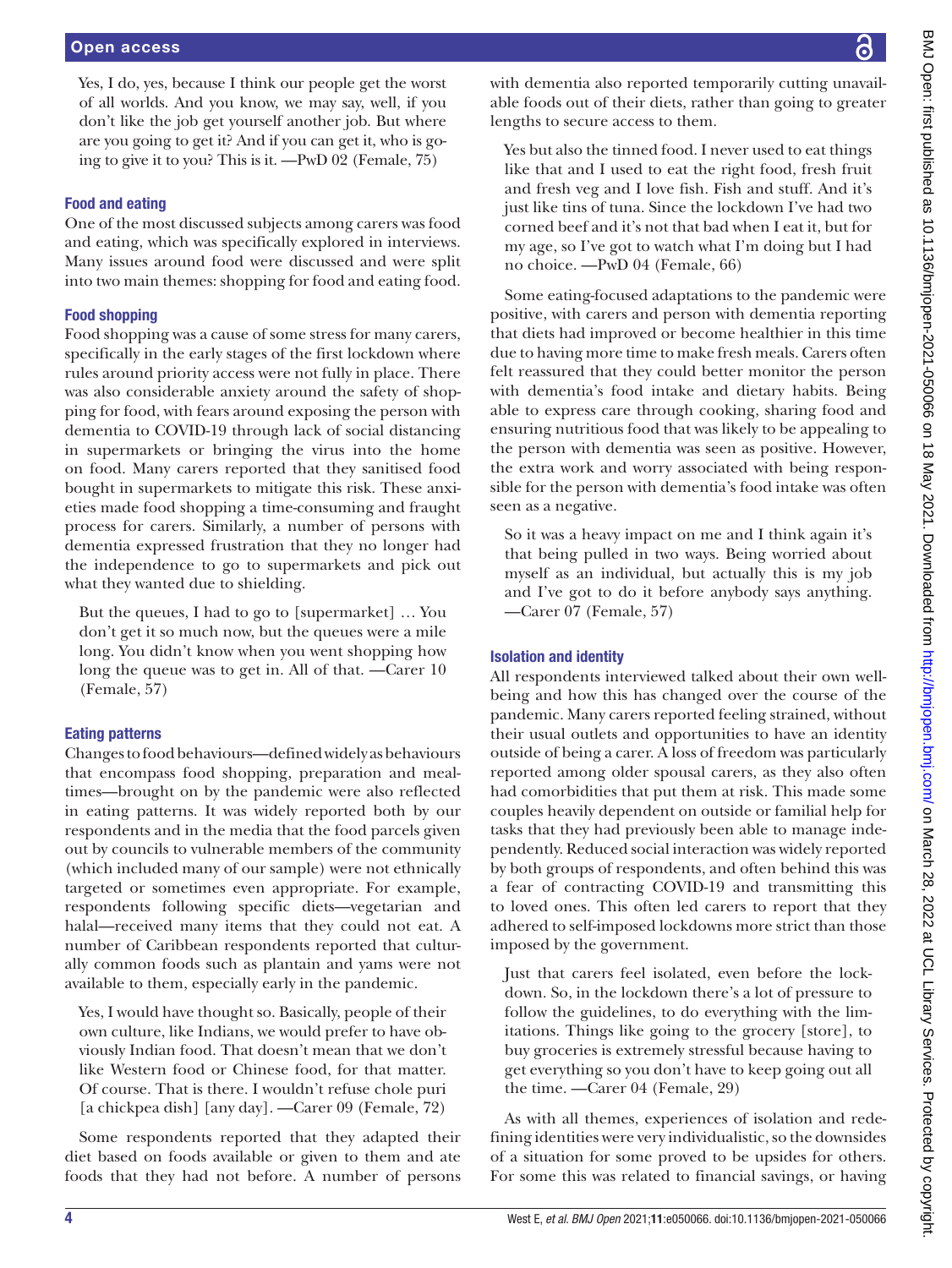Yes, I do, yes, because I think our people get the worst of all worlds. And you know, we may say, well, if you don't like the job get yourself another job. But where are you going to get it? And if you can get it, who is going to give it to you? This is it. —PwD 02 (Female, 75)

# Food and eating

One of the most discussed subjects among carers was food and eating, which was specifically explored in interviews. Many issues around food were discussed and were split into two main themes: shopping for food and eating food.

# Food shopping

Food shopping was a cause of some stress for many carers, specifically in the early stages of the first lockdown where rules around priority access were not fully in place. There was also considerable anxiety around the safety of shopping for food, with fears around exposing the person with dementia to COVID-19 through lack of social distancing in supermarkets or bringing the virus into the home on food. Many carers reported that they sanitised food bought in supermarkets to mitigate this risk. These anxieties made food shopping a time-consuming and fraught process for carers. Similarly, a number of persons with dementia expressed frustration that they no longer had the independence to go to supermarkets and pick out what they wanted due to shielding.

But the queues, I had to go to [supermarket] … You don't get it so much now, but the queues were a mile long. You didn't know when you went shopping how long the queue was to get in. All of that. —Carer 10 (Female, 57)

# Eating patterns

Changes to food behaviours—defined widely as behaviours that encompass food shopping, preparation and mealtimes—brought on by the pandemic were also reflected in eating patterns. It was widely reported both by our respondents and in the media that the food parcels given out by councils to vulnerable members of the community (which included many of our sample) were not ethnically targeted or sometimes even appropriate. For example, respondents following specific diets—vegetarian and halal—received many items that they could not eat. A number of Caribbean respondents reported that culturally common foods such as plantain and yams were not available to them, especially early in the pandemic.

Yes, I would have thought so. Basically, people of their own culture, like Indians, we would prefer to have obviously Indian food. That doesn't mean that we don't like Western food or Chinese food, for that matter. Of course. That is there. I wouldn't refuse chole puri [a chickpea dish] [any day]. —Carer 09 (Female, 72)

Some respondents reported that they adapted their diet based on foods available or given to them and ate foods that they had not before. A number of persons

lengths to secure access to them.

no choice. —PwD 04 (Female, 66)

seen as a negative.

Isolation and identity

—Carer 07 (Female, 57)

imposed by the government.

the time. —Carer 04 (Female, 29)

BMJ Open: first published as 10.1136/bmjopen-2021-050066 on 18 May 2021. Downloaded from http://bmjopen.bmj.com/ on March 28, 2022 at UCL Library Services. Protected by copyright. BMJ Open: first published as 10.1136/bmjopen-2021-050066 on 18 May 2021. Downloaded from brotected by copyright. Do the services. Protected by copyright. with dementia also reported temporarily cutting unavailable foods out of their diets, rather than going to greater Yes but also the tinned food. I never used to eat things like that and I used to eat the right food, fresh fruit and fresh veg and I love fish. Fish and stuff. And it's just like tins of tuna. Since the lockdown I've had two corned beef and it's not that bad when I eat it, but for my age, so I've got to watch what I'm doing but I had Some eating-focused adaptations to the pandemic were positive, with carers and person with dementia reporting that diets had improved or become healthier in this time due to having more time to make fresh meals. Carers often felt reassured that they could better monitor the person with dementia's food intake and dietary habits. Being able to express care through cooking, sharing food and ensuring nutritious food that was likely to be appealing to the person with dementia was seen as positive. However, the extra work and worry associated with being responsible for the person with dementia's food intake was often So it was a heavy impact on me and I think again it's that being pulled in two ways. Being worried about myself as an individual, but actually this is my job and I've got to do it before anybody says anything. All respondents interviewed talked about their own wellbeing and how this has changed over the course of the pandemic. Many carers reported feeling strained, without their usual outlets and opportunities to have an identity outside of being a carer. A loss of freedom was particularly reported among older spousal carers, as they also often had comorbidities that put them at risk. This made some couples heavily dependent on outside or familial help for tasks that they had previously been able to manage independently. Reduced social interaction was widely reported by both groups of respondents, and often behind this was a fear of contracting COVID-19 and transmitting this to loved ones. This often led carers to report that they adhered to self-imposed lockdowns more strict than those Just that carers feel isolated, even before the lockdown. So, in the lockdown there's a lot of pressure to follow the guidelines, to do everything with the limitations. Things like going to the grocery [store], to buy groceries is extremely stressful because having to get everything so you don't have to keep going out all As with all themes, experiences of isolation and redefining identities were very individualistic, so the downsides

of a situation for some proved to be upsides for others. For some this was related to financial savings, or having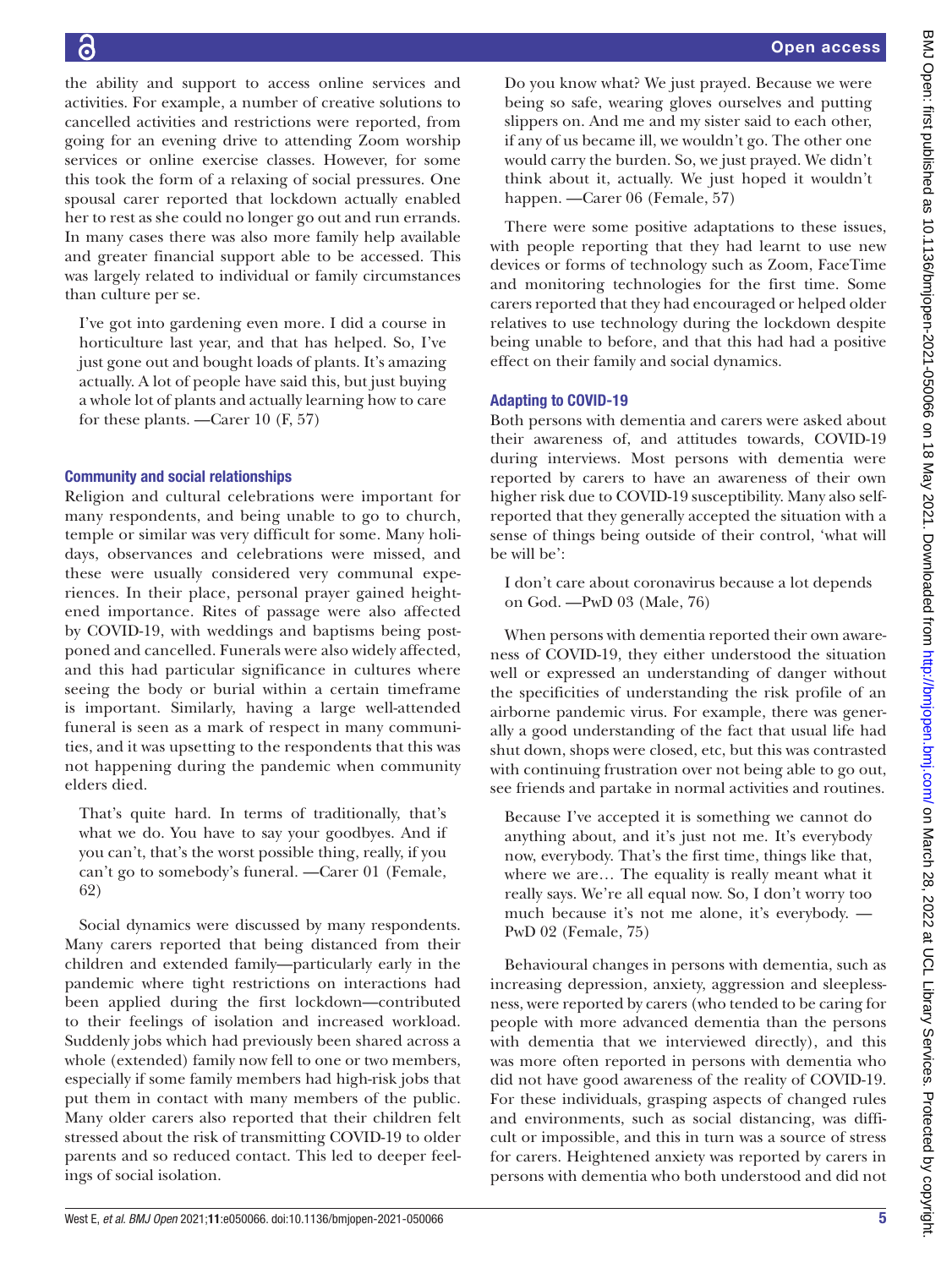the ability and support to access online services and activities. For example, a number of creative solutions to cancelled activities and restrictions were reported, from going for an evening drive to attending Zoom worship services or online exercise classes. However, for some this took the form of a relaxing of social pressures. One spousal carer reported that lockdown actually enabled her to rest as she could no longer go out and run errands. In many cases there was also more family help available and greater financial support able to be accessed. This was largely related to individual or family circumstances than culture per se.

I've got into gardening even more. I did a course in horticulture last year, and that has helped. So, I've just gone out and bought loads of plants. It's amazing actually. A lot of people have said this, but just buying a whole lot of plants and actually learning how to care for these plants. —Carer 10 (F, 57)

# Community and social relationships

Religion and cultural celebrations were important for many respondents, and being unable to go to church, temple or similar was very difficult for some. Many holidays, observances and celebrations were missed, and these were usually considered very communal experiences. In their place, personal prayer gained heightened importance. Rites of passage were also affected by COVID-19, with weddings and baptisms being postponed and cancelled. Funerals were also widely affected, and this had particular significance in cultures where seeing the body or burial within a certain timeframe is important. Similarly, having a large well-attended funeral is seen as a mark of respect in many communities, and it was upsetting to the respondents that this was not happening during the pandemic when community elders died.

That's quite hard. In terms of traditionally, that's what we do. You have to say your goodbyes. And if you can't, that's the worst possible thing, really, if you can't go to somebody's funeral. —Carer 01 (Female, 62)

Social dynamics were discussed by many respondents. Many carers reported that being distanced from their children and extended family—particularly early in the pandemic where tight restrictions on interactions had been applied during the first lockdown—contributed to their feelings of isolation and increased workload. Suddenly jobs which had previously been shared across a whole (extended) family now fell to one or two members, especially if some family members had high-risk jobs that put them in contact with many members of the public. Many older carers also reported that their children felt stressed about the risk of transmitting COVID-19 to older parents and so reduced contact. This led to deeper feelings of social isolation.

Do you know what? We just prayed. Because we were being so safe, wearing gloves ourselves and putting slippers on. And me and my sister said to each other, if any of us became ill, we wouldn't go. The other one would carry the burden. So, we just prayed. We didn't think about it, actually. We just hoped it wouldn't happen. —Carer 06 (Female, 57) There were some positive adaptations to these issues, with people reporting that they had learnt to use new devices or forms of technology such as Zoom, FaceTime and monitoring technologies for the first time. Some carers reported that they had encouraged or helped older relatives to use technology during the lockdown despite being unable to before, and that this had had a positive effect on their family and social dynamics.

# Adapting to COVID-19

Both persons with dementia and carers were asked about their awareness of, and attitudes towards, COVID-19 during interviews. Most persons with dementia were reported by carers to have an awareness of their own higher risk due to COVID-19 susceptibility. Many also selfreported that they generally accepted the situation with a sense of things being outside of their control, 'what will be will be':

I don't care about coronavirus because a lot depends on God. —PwD 03 (Male, 76)

When persons with dementia reported their own awareness of COVID-19, they either understood the situation well or expressed an understanding of danger without the specificities of understanding the risk profile of an airborne pandemic virus. For example, there was generally a good understanding of the fact that usual life had shut down, shops were closed, etc, but this was contrasted with continuing frustration over not being able to go out, see friends and partake in normal activities and routines.

Because I've accepted it is something we cannot do anything about, and it's just not me. It's everybody now, everybody. That's the first time, things like that, where we are… The equality is really meant what it really says. We're all equal now. So, I don't worry too much because it's not me alone, it's everybody. — PwD 02 (Female, 75)

Behavioural changes in persons with dementia, such as increasing depression, anxiety, aggression and sleeplessness, were reported by carers (who tended to be caring for people with more advanced dementia than the persons with dementia that we interviewed directly), and this was more often reported in persons with dementia who did not have good awareness of the reality of COVID-19. For these individuals, grasping aspects of changed rules and environments, such as social distancing, was difficult or impossible, and this in turn was a source of stress for carers. Heightened anxiety was reported by carers in persons with dementia who both understood and did not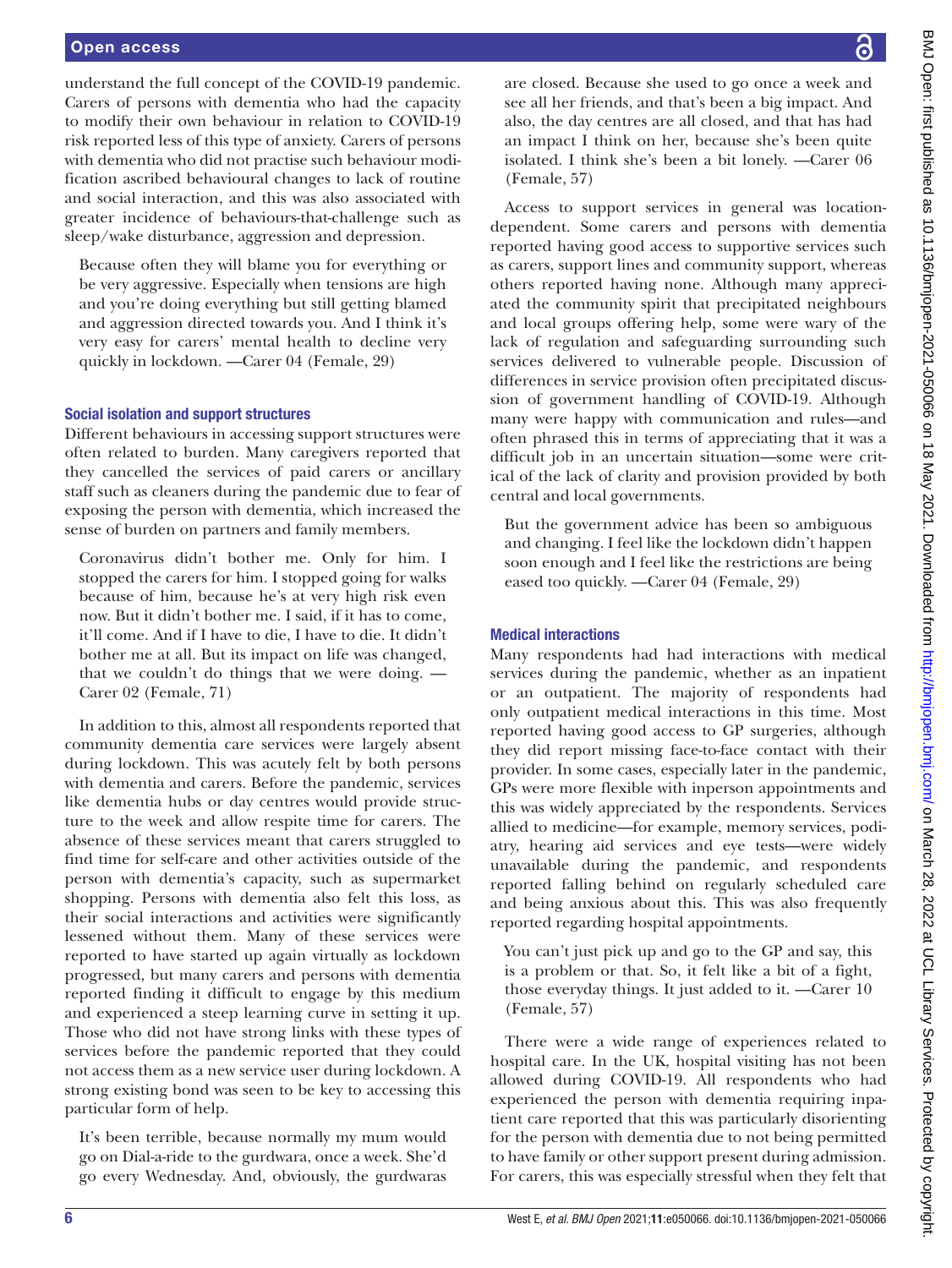understand the full concept of the COVID-19 pandemic. Carers of persons with dementia who had the capacity to modify their own behaviour in relation to COVID-19 risk reported less of this type of anxiety. Carers of persons with dementia who did not practise such behaviour modification ascribed behavioural changes to lack of routine and social interaction, and this was also associated with greater incidence of behaviours-that-challenge such as sleep/wake disturbance, aggression and depression.

Because often they will blame you for everything or be very aggressive. Especially when tensions are high and you're doing everything but still getting blamed and aggression directed towards you. And I think it's very easy for carers' mental health to decline very quickly in lockdown. —Carer 04 (Female, 29)

# Social isolation and support structures

Different behaviours in accessing support structures were often related to burden. Many caregivers reported that they cancelled the services of paid carers or ancillary staff such as cleaners during the pandemic due to fear of exposing the person with dementia, which increased the sense of burden on partners and family members.

Coronavirus didn't bother me. Only for him. I stopped the carers for him. I stopped going for walks because of him, because he's at very high risk even now. But it didn't bother me. I said, if it has to come, it'll come. And if I have to die, I have to die. It didn't bother me at all. But its impact on life was changed, that we couldn't do things that we were doing. — Carer 02 (Female, 71)

In addition to this, almost all respondents reported that community dementia care services were largely absent during lockdown. This was acutely felt by both persons with dementia and carers. Before the pandemic, services like dementia hubs or day centres would provide structure to the week and allow respite time for carers. The absence of these services meant that carers struggled to find time for self-care and other activities outside of the person with dementia's capacity, such as supermarket shopping. Persons with dementia also felt this loss, as their social interactions and activities were significantly lessened without them. Many of these services were reported to have started up again virtually as lockdown progressed, but many carers and persons with dementia reported finding it difficult to engage by this medium and experienced a steep learning curve in setting it up. Those who did not have strong links with these types of services before the pandemic reported that they could not access them as a new service user during lockdown. A strong existing bond was seen to be key to accessing this particular form of help.

It's been terrible, because normally my mum would go on Dial-a-ride to the gurdwara, once a week. She'd go every Wednesday. And, obviously, the gurdwaras are closed. Because she used to go once a week and see all her friends, and that's been a big impact. And also, the day centres are all closed, and that has had an impact I think on her, because she's been quite isolated. I think she's been a bit lonely. —Carer 06 (Female, 57)

Access to support services in general was locationdependent. Some carers and persons with dementia reported having good access to supportive services such as carers, support lines and community support, whereas others reported having none. Although many appreciated the community spirit that precipitated neighbours and local groups offering help, some were wary of the lack of regulation and safeguarding surrounding such services delivered to vulnerable people. Discussion of differences in service provision often precipitated discussion of government handling of COVID-19. Although many were happy with communication and rules—and often phrased this in terms of appreciating that it was a difficult job in an uncertain situation—some were critical of the lack of clarity and provision provided by both central and local governments.

But the government advice has been so ambiguous and changing. I feel like the lockdown didn't happen soon enough and I feel like the restrictions are being eased too quickly. —Carer 04 (Female, 29)

# Medical interactions

Many respondents had had interactions with medical services during the pandemic, whether as an inpatient or an outpatient. The majority of respondents had only outpatient medical interactions in this time. Most reported having good access to GP surgeries, although they did report missing face-to-face contact with their provider. In some cases, especially later in the pandemic, GPs were more flexible with inperson appointments and this was widely appreciated by the respondents. Services allied to medicine—for example, memory services, podiatry, hearing aid services and eye tests—were widely unavailable during the pandemic, and respondents reported falling behind on regularly scheduled care and being anxious about this. This was also frequently reported regarding hospital appointments.

You can't just pick up and go to the GP and say, this is a problem or that. So, it felt like a bit of a fight, those everyday things. It just added to it. —Carer 10 (Female, 57)

There were a wide range of experiences related to hospital care. In the UK, hospital visiting has not been allowed during COVID-19. All respondents who had experienced the person with dementia requiring inpatient care reported that this was particularly disorienting for the person with dementia due to not being permitted to have family or other support present during admission. For carers, this was especially stressful when they felt that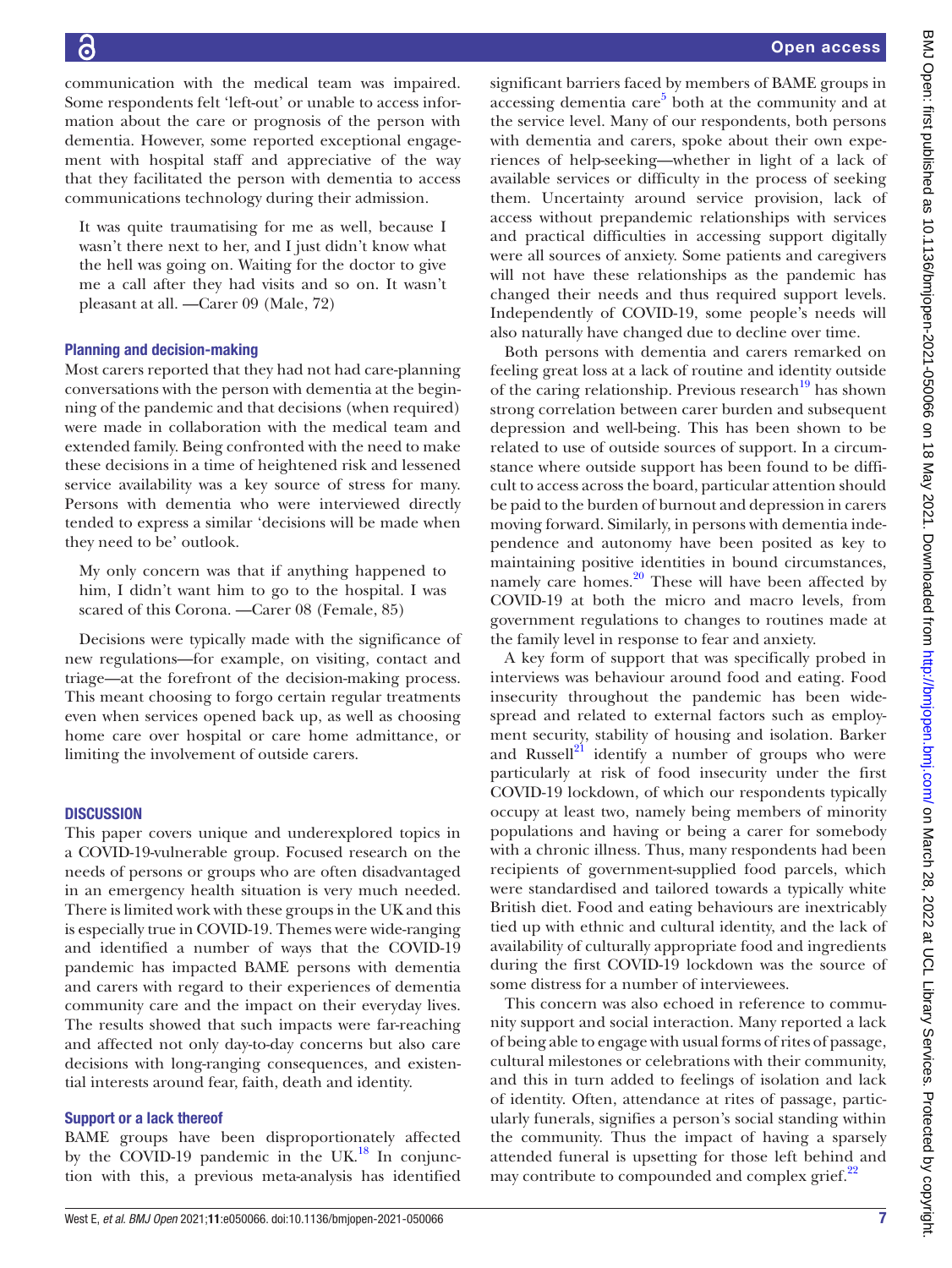communication with the medical team was impaired. Some respondents felt 'left-out' or unable to access information about the care or prognosis of the person with dementia. However, some reported exceptional engagement with hospital staff and appreciative of the way that they facilitated the person with dementia to access communications technology during their admission.

It was quite traumatising for me as well, because I wasn't there next to her, and I just didn't know what the hell was going on. Waiting for the doctor to give me a call after they had visits and so on. It wasn't pleasant at all. —Carer 09 (Male, 72)

#### Planning and decision-making

Most carers reported that they had not had care-planning conversations with the person with dementia at the beginning of the pandemic and that decisions (when required) were made in collaboration with the medical team and extended family. Being confronted with the need to make these decisions in a time of heightened risk and lessened service availability was a key source of stress for many. Persons with dementia who were interviewed directly tended to express a similar 'decisions will be made when they need to be' outlook.

My only concern was that if anything happened to him, I didn't want him to go to the hospital. I was scared of this Corona. —Carer 08 (Female, 85)

Decisions were typically made with the significance of new regulations—for example, on visiting, contact and triage—at the forefront of the decision-making process. This meant choosing to forgo certain regular treatments even when services opened back up, as well as choosing home care over hospital or care home admittance, or limiting the involvement of outside carers.

#### **DISCUSSION**

This paper covers unique and underexplored topics in a COVID-19-vulnerable group. Focused research on the needs of persons or groups who are often disadvantaged in an emergency health situation is very much needed. There is limited work with these groups in the UK and this is especially true in COVID-19. Themes were wide-ranging and identified a number of ways that the COVID-19 pandemic has impacted BAME persons with dementia and carers with regard to their experiences of dementia community care and the impact on their everyday lives. The results showed that such impacts were far-reaching and affected not only day-to-day concerns but also care decisions with long-ranging consequences, and existential interests around fear, faith, death and identity.

#### Support or a lack thereof

BAME groups have been disproportionately affected by the COVID-19 pandemic in the UK. $^{18}$  In conjunction with this, a previous meta-analysis has identified

significant barriers faced by members of BAME groups in  $accessing$  dementia care $5$  both at the community and at the service level. Many of our respondents, both persons with dementia and carers, spoke about their own experiences of help-seeking—whether in light of a lack of available services or difficulty in the process of seeking them. Uncertainty around service provision, lack of access without prepandemic relationships with services and practical difficulties in accessing support digitally were all sources of anxiety. Some patients and caregivers will not have these relationships as the pandemic has changed their needs and thus required support levels. Independently of COVID-19, some people's needs will also naturally have changed due to decline over time.

Both persons with dementia and carers remarked on feeling great loss at a lack of routine and identity outside of the caring relationship. Previous research $^{19}$  has shown strong correlation between carer burden and subsequent depression and well-being. This has been shown to be related to use of outside sources of support. In a circumstance where outside support has been found to be difficult to access across the board, particular attention should be paid to the burden of burnout and depression in carers moving forward. Similarly, in persons with dementia independence and autonomy have been posited as key to maintaining positive identities in bound circumstances, namely care homes.<sup>20</sup> These will have been affected by COVID-19 at both the micro and macro levels, from government regulations to changes to routines made at the family level in response to fear and anxiety.

A key form of support that was specifically probed in interviews was behaviour around food and eating. Food insecurity throughout the pandemic has been widespread and related to external factors such as employment security, stability of housing and isolation. Barker and Russell $^{21}$  $^{21}$  $^{21}$  identify a number of groups who were particularly at risk of food insecurity under the first COVID-19 lockdown, of which our respondents typically occupy at least two, namely being members of minority populations and having or being a carer for somebody with a chronic illness. Thus, many respondents had been recipients of government-supplied food parcels, which were standardised and tailored towards a typically white British diet. Food and eating behaviours are inextricably tied up with ethnic and cultural identity, and the lack of availability of culturally appropriate food and ingredients during the first COVID-19 lockdown was the source of some distress for a number of interviewees.

This concern was also echoed in reference to community support and social interaction. Many reported a lack of being able to engage with usual forms of rites of passage, cultural milestones or celebrations with their community, and this in turn added to feelings of isolation and lack of identity. Often, attendance at rites of passage, particularly funerals, signifies a person's social standing within the community. Thus the impact of having a sparsely attended funeral is upsetting for those left behind and may contribute to compounded and complex grief.<sup>22</sup>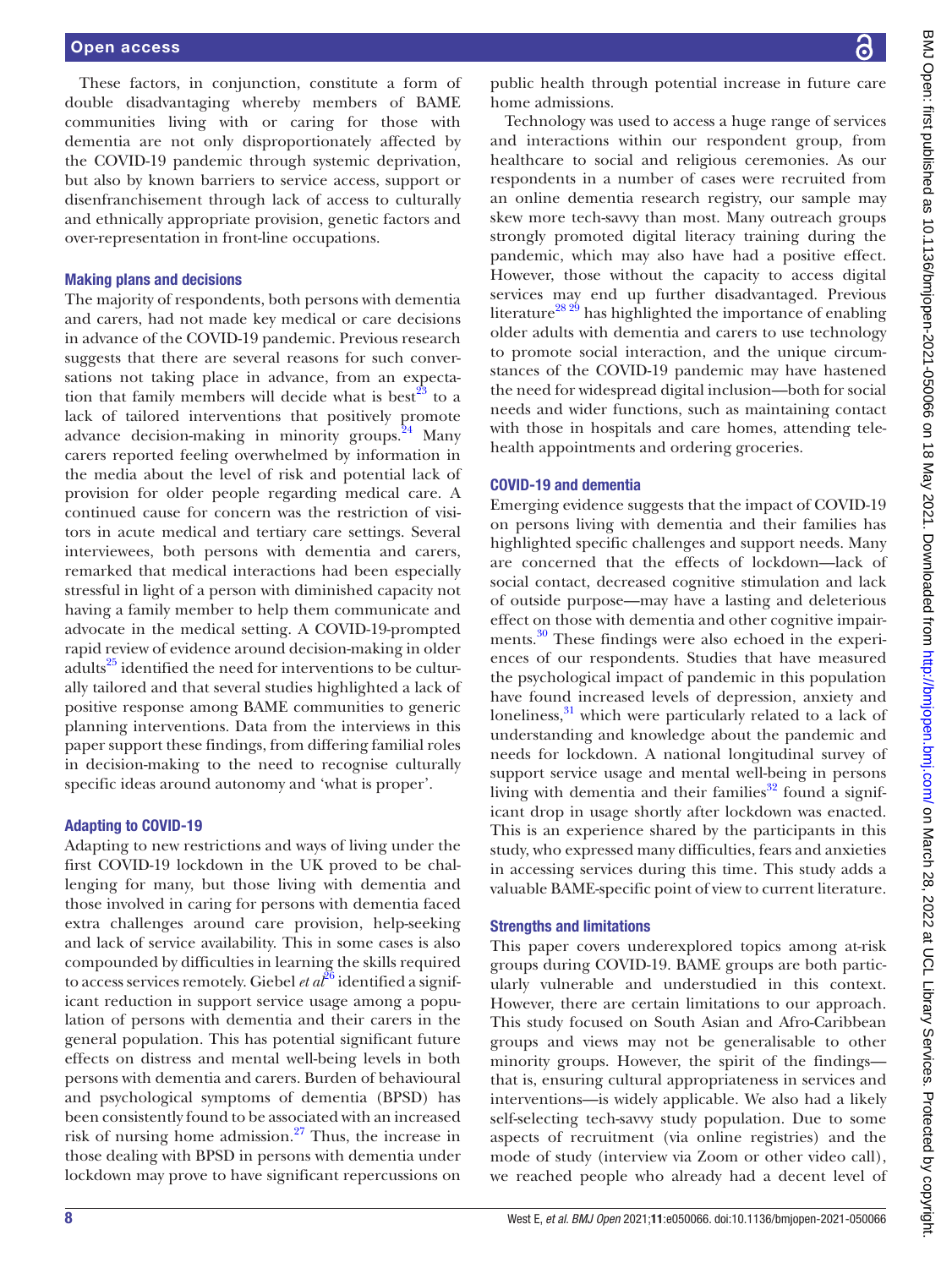These factors, in conjunction, constitute a form of double disadvantaging whereby members of BAME communities living with or caring for those with dementia are not only disproportionately affected by the COVID-19 pandemic through systemic deprivation, but also by known barriers to service access, support or disenfranchisement through lack of access to culturally and ethnically appropriate provision, genetic factors and over-representation in front-line occupations.

## Making plans and decisions

The majority of respondents, both persons with dementia and carers, had not made key medical or care decisions in advance of the COVID-19 pandemic. Previous research suggests that there are several reasons for such conversations not taking place in advance, from an expectation that family members will decide what is best<sup>23</sup> to a lack of tailored interventions that positively promote advance decision-making in minority groups. $^{24}$  Many carers reported feeling overwhelmed by information in the media about the level of risk and potential lack of provision for older people regarding medical care. A continued cause for concern was the restriction of visitors in acute medical and tertiary care settings. Several interviewees, both persons with dementia and carers, remarked that medical interactions had been especially stressful in light of a person with diminished capacity not having a family member to help them communicate and advocate in the medical setting. A COVID-19-prompted rapid review of evidence around decision-making in older adults<sup>[25](#page-9-5)</sup> identified the need for interventions to be culturally tailored and that several studies highlighted a lack of positive response among BAME communities to generic planning interventions. Data from the interviews in this paper support these findings, from differing familial roles in decision-making to the need to recognise culturally specific ideas around autonomy and 'what is proper'.

## Adapting to COVID-19

Adapting to new restrictions and ways of living under the first COVID-19 lockdown in the UK proved to be challenging for many, but those living with dementia and those involved in caring for persons with dementia faced extra challenges around care provision, help-seeking and lack of service availability. This in some cases is also compounded by difficulties in learning the skills required to access services remotely. Giebel *et al*<sup>26</sup> identified a significant reduction in support service usage among a population of persons with dementia and their carers in the general population. This has potential significant future effects on distress and mental well-being levels in both persons with dementia and carers. Burden of behavioural and psychological symptoms of dementia (BPSD) has been consistently found to be associated with an increased risk of nursing home admission.[27](#page-9-7) Thus, the increase in those dealing with BPSD in persons with dementia under lockdown may prove to have significant repercussions on

public health through potential increase in future care home admissions.

Technology was used to access a huge range of services and interactions within our respondent group, from healthcare to social and religious ceremonies. As our respondents in a number of cases were recruited from an online dementia research registry, our sample may skew more tech-savvy than most. Many outreach groups strongly promoted digital literacy training during the pandemic, which may also have had a positive effect. However, those without the capacity to access digital services may end up further disadvantaged. Previous literature<sup>28 29</sup> has highlighted the importance of enabling older adults with dementia and carers to use technology to promote social interaction, and the unique circumstances of the COVID-19 pandemic may have hastened the need for widespread digital inclusion—both for social needs and wider functions, such as maintaining contact with those in hospitals and care homes, attending telehealth appointments and ordering groceries.

# COVID-19 and dementia

Emerging evidence suggests that the impact of COVID-19 on persons living with dementia and their families has highlighted specific challenges and support needs. Many are concerned that the effects of lockdown—lack of social contact, decreased cognitive stimulation and lack of outside purpose—may have a lasting and deleterious effect on those with dementia and other cognitive impairments.<sup>30</sup> These findings were also echoed in the experiences of our respondents. Studies that have measured the psychological impact of pandemic in this population have found increased levels of depression, anxiety and loneliness,<sup>31</sup> which were particularly related to a lack of understanding and knowledge about the pandemic and needs for lockdown. A national longitudinal survey of support service usage and mental well-being in persons living with dementia and their families<sup>32</sup> found a significant drop in usage shortly after lockdown was enacted. This is an experience shared by the participants in this study, who expressed many difficulties, fears and anxieties in accessing services during this time. This study adds a valuable BAME-specific point of view to current literature.

# Strengths and limitations

This paper covers underexplored topics among at-risk groups during COVID-19. BAME groups are both particularly vulnerable and understudied in this context. However, there are certain limitations to our approach. This study focused on South Asian and Afro-Caribbean groups and views may not be generalisable to other minority groups. However, the spirit of the findings that is, ensuring cultural appropriateness in services and interventions—is widely applicable. We also had a likely self-selecting tech-savvy study population. Due to some aspects of recruitment (via online registries) and the mode of study (interview via Zoom or other video call), we reached people who already had a decent level of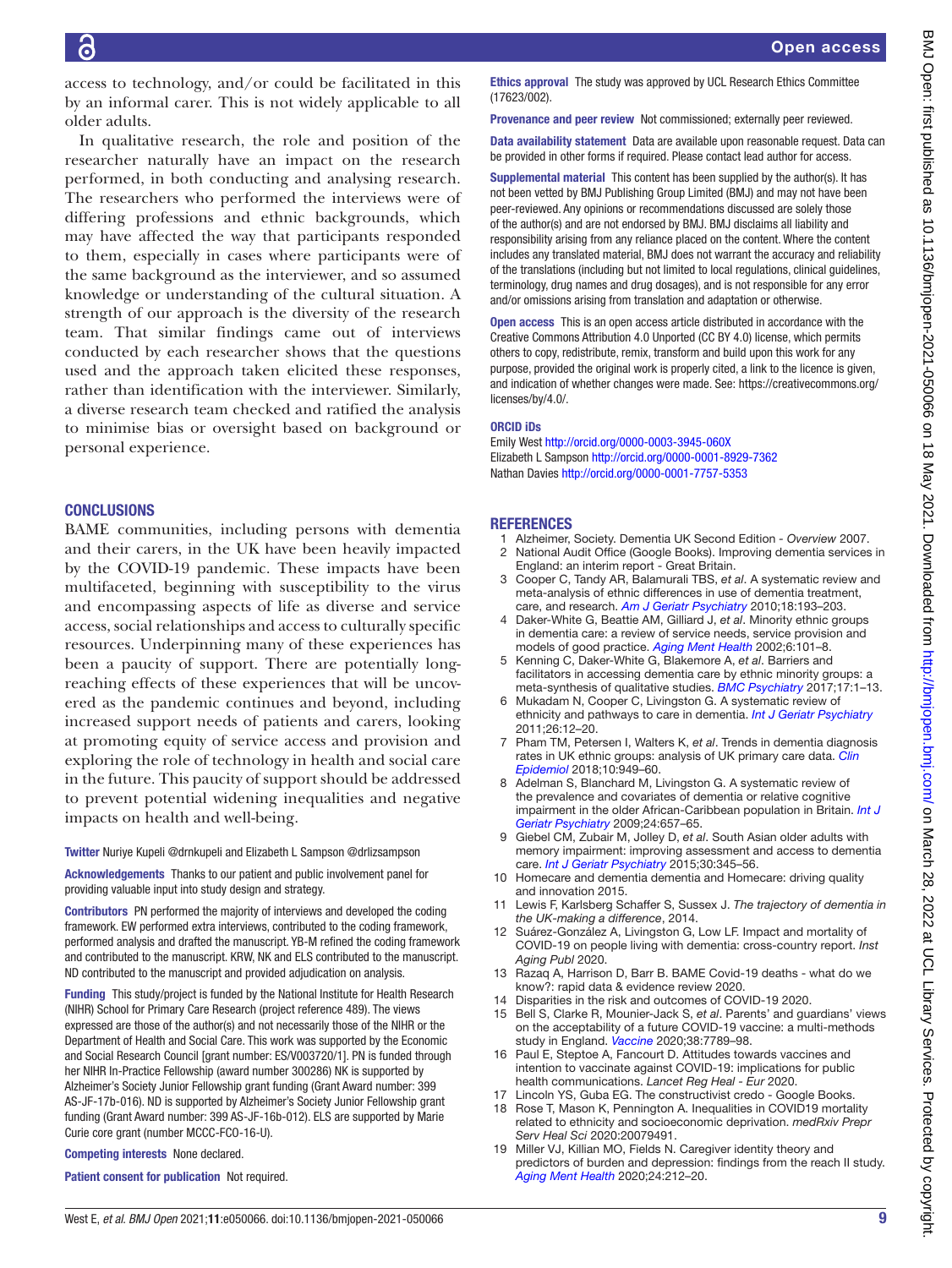access to technology, and/or could be facilitated in this by an informal carer. This is not widely applicable to all older adults.

In qualitative research, the role and position of the researcher naturally have an impact on the research performed, in both conducting and analysing research. The researchers who performed the interviews were of differing professions and ethnic backgrounds, which may have affected the way that participants responded to them, especially in cases where participants were of the same background as the interviewer, and so assumed knowledge or understanding of the cultural situation. A strength of our approach is the diversity of the research team. That similar findings came out of interviews conducted by each researcher shows that the questions used and the approach taken elicited these responses, rather than identification with the interviewer. Similarly, a diverse research team checked and ratified the analysis to minimise bias or oversight based on background or personal experience.

# **CONCLUSIONS**

BAME communities, including persons with dementia and their carers, in the UK have been heavily impacted by the COVID-19 pandemic. These impacts have been multifaceted, beginning with susceptibility to the virus and encompassing aspects of life as diverse and service access, social relationships and access to culturally specific resources. Underpinning many of these experiences has been a paucity of support. There are potentially longreaching effects of these experiences that will be uncovered as the pandemic continues and beyond, including increased support needs of patients and carers, looking at promoting equity of service access and provision and exploring the role of technology in health and social care in the future. This paucity of support should be addressed to prevent potential widening inequalities and negative impacts on health and well-being.

Twitter Nuriye Kupeli [@drnkupeli](https://twitter.com/drnkupeli) and Elizabeth L Sampson [@drlizsampson](https://twitter.com/drlizsampson)

Acknowledgements Thanks to our patient and public involvement panel for providing valuable input into study design and strategy.

Contributors PN performed the majority of interviews and developed the coding framework. EW performed extra interviews, contributed to the coding framework, performed analysis and drafted the manuscript. YB-M refined the coding framework and contributed to the manuscript. KRW, NK and ELS contributed to the manuscript. ND contributed to the manuscript and provided adjudication on analysis.

Funding This study/project is funded by the National Institute for Health Research (NIHR) School for Primary Care Research (project reference 489). The views expressed are those of the author(s) and not necessarily those of the NIHR or the Department of Health and Social Care. This work was supported by the Economic and Social Research Council [grant number: ES/V003720/1]. PN is funded through her NIHR In-Practice Fellowship (award number 300286) NK is supported by Alzheimer's Society Junior Fellowship grant funding (Grant Award number: 399 AS-JF-17b-016). ND is supported by Alzheimer's Society Junior Fellowship grant funding (Grant Award number: 399 AS-JF-16b-012). ELS are supported by Marie Curie core grant (number MCCC-FCO-16-U).

Competing interests None declared.

Patient consent for publication Not required.

Ethics approval The study was approved by UCL Research Ethics Committee (17623/002).

Provenance and peer review Not commissioned; externally peer reviewed.

Data availability statement Data are available upon reasonable request. Data can be provided in other forms if required. Please contact lead author for access.

Supplemental material This content has been supplied by the author(s). It has not been vetted by BMJ Publishing Group Limited (BMJ) and may not have been peer-reviewed. Any opinions or recommendations discussed are solely those of the author(s) and are not endorsed by BMJ. BMJ disclaims all liability and responsibility arising from any reliance placed on the content. Where the content includes any translated material, BMJ does not warrant the accuracy and reliability of the translations (including but not limited to local regulations, clinical guidelines, terminology, drug names and drug dosages), and is not responsible for any error and/or omissions arising from translation and adaptation or otherwise.

Open access This is an open access article distributed in accordance with the Creative Commons Attribution 4.0 Unported (CC BY 4.0) license, which permits others to copy, redistribute, remix, transform and build upon this work for any purpose, provided the original work is properly cited, a link to the licence is given, and indication of whether changes were made. See: [https://creativecommons.org/](https://creativecommons.org/licenses/by/4.0/) [licenses/by/4.0/](https://creativecommons.org/licenses/by/4.0/).

#### ORCID iDs

Emily West<http://orcid.org/0000-0003-3945-060X> Elizabeth L Sampson<http://orcid.org/0000-0001-8929-7362> Nathan Davies <http://orcid.org/0000-0001-7757-5353>

# **REFERENCES**

- <span id="page-8-0"></span>1 Alzheimer, Society. Dementia UK Second Edition *- Overview* 2007.
- <span id="page-8-1"></span>2 National Audit Office (Google Books). Improving dementia services in England: an interim report - Great Britain.
- <span id="page-8-2"></span>3 Cooper C, Tandy AR, Balamurali TBS, *et al*. A systematic review and meta-analysis of ethnic differences in use of dementia treatment, care, and research. *[Am J Geriatr Psychiatry](http://dx.doi.org/10.1097/JGP.0b013e3181bf9caf)* 2010;18:193–203.
- Daker-White G, Beattie AM, Gilliard J, et al. Minority ethnic groups in dementia care: a review of service needs, service provision and models of good practice. *[Aging Ment Health](http://dx.doi.org/10.1080/13607860220126835)* 2002;6:101–8.
- <span id="page-8-13"></span>5 Kenning C, Daker-White G, Blakemore A, *et al*. Barriers and facilitators in accessing dementia care by ethnic minority groups: a meta-synthesis of qualitative studies. *[BMC Psychiatry](http://dx.doi.org/10.1186/s12888-017-1474-0)* 2017;17:1–13.
- 6 Mukadam N, Cooper C, Livingston G. A systematic review of ethnicity and pathways to care in dementia. *[Int J Geriatr Psychiatry](http://dx.doi.org/10.1002/gps.2484)* 2011;26:12–20.
- <span id="page-8-3"></span>7 Pham TM, Petersen I, Walters K, *et al*. Trends in dementia diagnosis rates in UK ethnic groups: analysis of UK primary care data. *[Clin](http://dx.doi.org/10.2147/CLEP.S152647)  [Epidemiol](http://dx.doi.org/10.2147/CLEP.S152647)* 2018;10:949–60.
- 8 Adelman S, Blanchard M, Livingston G. A systematic review of the prevalence and covariates of dementia or relative cognitive impairment in the older African-Caribbean population in Britain. *[Int J](http://dx.doi.org/10.1002/gps.2186)  [Geriatr Psychiatry](http://dx.doi.org/10.1002/gps.2186)* 2009;24:657–65.
- <span id="page-8-4"></span>9 Giebel CM, Zubair M, Jolley D, *et al*. South Asian older adults with memory impairment: improving assessment and access to dementia care. *[Int J Geriatr Psychiatry](http://dx.doi.org/10.1002/gps.4242)* 2015;30:345–56.
- <span id="page-8-5"></span>10 Homecare and dementia dementia and Homecare: driving quality and innovation 2015.
- <span id="page-8-6"></span>11 Lewis F, Karlsberg Schaffer S, Sussex J. *The trajectory of dementia in the UK-making a difference*, 2014.
- <span id="page-8-7"></span>12 Suárez-González A, Livingston G, Low LF. Impact and mortality of COVID-19 on people living with dementia: cross-country report. *Inst Aging Publ* 2020.
- <span id="page-8-8"></span>13 Razaq A, Harrison D, Barr B. BAME Covid-19 deaths - what do we know?: rapid data & evidence review 2020.
- <span id="page-8-9"></span>14 Disparities in the risk and outcomes of COVID-19 2020.
- <span id="page-8-10"></span>15 Bell S, Clarke R, Mounier-Jack S, *et al*. Parents' and guardians' views on the acceptability of a future COVID-19 vaccine: a multi-methods study in England. *[Vaccine](http://dx.doi.org/10.1016/j.vaccine.2020.10.027)* 2020;38:7789–98.
- 16 Paul E, Steptoe A, Fancourt D. Attitudes towards vaccines and intention to vaccinate against COVID-19: implications for public health communications. *Lancet Reg Heal - Eur* 2020.
- <span id="page-8-11"></span>17 Lincoln YS, Guba EG. The constructivist credo - Google Books.
- <span id="page-8-12"></span>18 Rose T, Mason K, Pennington A. Inequalities in COVID19 mortality related to ethnicity and socioeconomic deprivation. *medRxiv Prepr Serv Heal Sci* 2020:20079491.
- <span id="page-8-14"></span>19 Miller VJ, Killian MO, Fields N. Caregiver identity theory and predictors of burden and depression: findings from the reach II study. *[Aging Ment Health](http://dx.doi.org/10.1080/13607863.2018.1533522)* 2020;24:212–20.